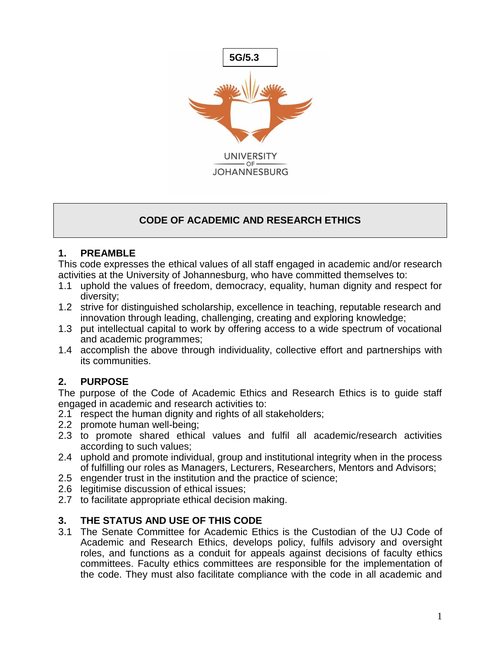

## **CODE OF ACADEMIC AND RESEARCH ETHICS**

## **1. PREAMBLE**

This code expresses the ethical values of all staff engaged in academic and/or research activities at the University of Johannesburg, who have committed themselves to:

- 1.1 uphold the values of freedom, democracy, equality, human dignity and respect for diversity;
- 1.2 strive for distinguished scholarship, excellence in teaching, reputable research and innovation through leading, challenging, creating and exploring knowledge;
- 1.3 put intellectual capital to work by offering access to a wide spectrum of vocational and academic programmes;
- 1.4 accomplish the above through individuality, collective effort and partnerships with its communities.

# **2. PURPOSE**

The purpose of the Code of Academic Ethics and Research Ethics is to guide staff engaged in academic and research activities to:

- 2.1 respect the human dignity and rights of all stakeholders;
- 2.2 promote human well-being;
- 2.3 to promote shared ethical values and fulfil all academic/research activities according to such values;
- 2.4 uphold and promote individual, group and institutional integrity when in the process of fulfilling our roles as Managers, Lecturers, Researchers, Mentors and Advisors;
- 2.5 engender trust in the institution and the practice of science;
- 2.6 legitimise discussion of ethical issues;
- 2.7 to facilitate appropriate ethical decision making.

## **3. THE STATUS AND USE OF THIS CODE**

3.1 The Senate Committee for Academic Ethics is the Custodian of the UJ Code of Academic and Research Ethics, develops policy, fulfils advisory and oversight roles, and functions as a conduit for appeals against decisions of faculty ethics committees. Faculty ethics committees are responsible for the implementation of the code. They must also facilitate compliance with the code in all academic and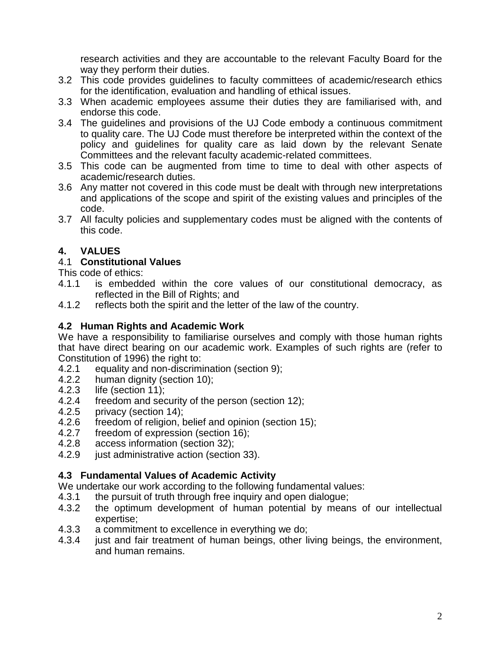research activities and they are accountable to the relevant Faculty Board for the way they perform their duties.

- 3.2 This code provides guidelines to faculty committees of academic/research ethics for the identification, evaluation and handling of ethical issues.
- 3.3 When academic employees assume their duties they are familiarised with, and endorse this code.
- 3.4 The guidelines and provisions of the UJ Code embody a continuous commitment to quality care. The UJ Code must therefore be interpreted within the context of the policy and guidelines for quality care as laid down by the relevant Senate Committees and the relevant faculty academic-related committees.
- 3.5 This code can be augmented from time to time to deal with other aspects of academic/research duties.
- 3.6 Any matter not covered in this code must be dealt with through new interpretations and applications of the scope and spirit of the existing values and principles of the code.
- 3.7 All faculty policies and supplementary codes must be aligned with the contents of this code.

## **4. VALUES**

#### 4.1 **Constitutional Values**

This code of ethics:

- 4.1.1 is embedded within the core values of our constitutional democracy, as reflected in the Bill of Rights; and
- 4.1.2 reflects both the spirit and the letter of the law of the country.

### **4.2 Human Rights and Academic Work**

We have a responsibility to familiarise ourselves and comply with those human rights that have direct bearing on our academic work. Examples of such rights are (refer to Constitution of 1996) the right to:

- 4.2.1 equality and non-discrimination (section 9);
- 4.2.2 human dignity (section 10);<br>4.2.3 life (section 11):
- life (section 11);
- 4.2.4 freedom and security of the person (section 12);
- 4.2.5 privacy (section 14);<br>4.2.6 freedom of religion. b
- 4.2.6 freedom of religion, belief and opinion (section 15);<br>4.2.7 freedom of expression (section 16);
- freedom of expression (section 16);
- 4.2.8 access information (section 32);
- 4.2.9 just administrative action (section 33).

## **4.3 Fundamental Values of Academic Activity**

We undertake our work according to the following fundamental values:

- 4.3.1 the pursuit of truth through free inquiry and open dialogue;
- 4.3.2 the optimum development of human potential by means of our intellectual expertise;
- 4.3.3 a commitment to excellence in everything we do;
- 4.3.4 just and fair treatment of human beings, other living beings, the environment, and human remains.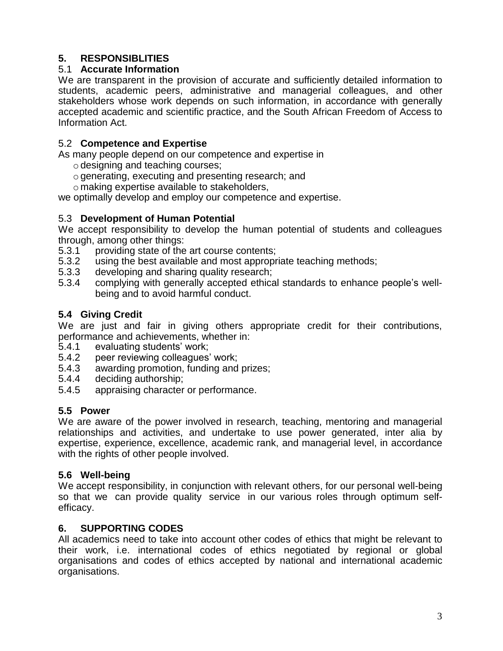## **5. RESPONSIBLITIES**

## 5.1 **Accurate Information**

We are transparent in the provision of accurate and sufficiently detailed information to students, academic peers, administrative and managerial colleagues, and other stakeholders whose work depends on such information, in accordance with generally accepted academic and scientific practice, and the South African Freedom of Access to Information Act.

## 5.2 **Competence and Expertise**

As many people depend on our competence and expertise in

- $\circ$  designing and teaching courses;
- ogenerating, executing and presenting research; and
- o making expertise available to stakeholders,

we optimally develop and employ our competence and expertise.

#### 5.3 **Development of Human Potential**

We accept responsibility to develop the human potential of students and colleagues through, among other things:

- 5.3.1 providing state of the art course contents;
- 5.3.2 using the best available and most appropriate teaching methods;
- 5.3.3 developing and sharing quality research;
- 5.3.4 complying with generally accepted ethical standards to enhance people's wellbeing and to avoid harmful conduct.

## **5.4 Giving Credit**

We are just and fair in giving others appropriate credit for their contributions, performance and achievements, whether in:

- 5.4.1 evaluating students' work;
- 5.4.2 peer reviewing colleagues' work;
- 5.4.3 awarding promotion, funding and prizes;
- 5.4.4 deciding authorship;
- 5.4.5 appraising character or performance.

## **5.5 Power**

We are aware of the power involved in research, teaching, mentoring and managerial relationships and activities, and undertake to use power generated, inter alia by expertise, experience, excellence, academic rank, and managerial level, in accordance with the rights of other people involved.

## **5.6 Well-being**

We accept responsibility, in conjunction with relevant others, for our personal well-being so that we can provide quality service in our various roles through optimum selfefficacy.

## **6. SUPPORTING CODES**

All academics need to take into account other codes of ethics that might be relevant to their work, i.e. international codes of ethics negotiated by regional or global organisations and codes of ethics accepted by national and international academic organisations.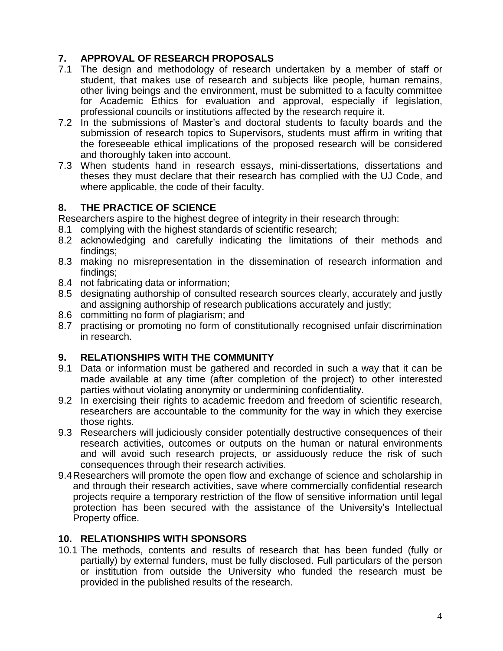## **7. APPROVAL OF RESEARCH PROPOSALS**

- 7.1 The design and methodology of research undertaken by a member of staff or student, that makes use of research and subjects like people, human remains, other living beings and the environment, must be submitted to a faculty committee for Academic Ethics for evaluation and approval, especially if legislation, professional councils or institutions affected by the research require it.
- 7.2 In the submissions of Master's and doctoral students to faculty boards and the submission of research topics to Supervisors, students must affirm in writing that the foreseeable ethical implications of the proposed research will be considered and thoroughly taken into account.
- 7.3 When students hand in research essays, mini-dissertations, dissertations and theses they must declare that their research has complied with the UJ Code, and where applicable, the code of their faculty.

## **8. THE PRACTICE OF SCIENCE**

Researchers aspire to the highest degree of integrity in their research through:

- 8.1 complying with the highest standards of scientific research;
- 8.2 acknowledging and carefully indicating the limitations of their methods and findings;
- 8.3 making no misrepresentation in the dissemination of research information and findings;
- 8.4 not fabricating data or information;
- 8.5 designating authorship of consulted research sources clearly, accurately and justly and assigning authorship of research publications accurately and justly;
- 8.6 committing no form of plagiarism; and
- 8.7 practising or promoting no form of constitutionally recognised unfair discrimination in research.

## **9. RELATIONSHIPS WITH THE COMMUNITY**

- 9.1 Data or information must be gathered and recorded in such a way that it can be made available at any time (after completion of the project) to other interested parties without violating anonymity or undermining confidentiality.
- 9.2 In exercising their rights to academic freedom and freedom of scientific research, researchers are accountable to the community for the way in which they exercise those rights.
- 9.3 Researchers will judiciously consider potentially destructive consequences of their research activities, outcomes or outputs on the human or natural environments and will avoid such research projects, or assiduously reduce the risk of such consequences through their research activities.
- 9.4Researchers will promote the open flow and exchange of science and scholarship in and through their research activities, save where commercially confidential research projects require a temporary restriction of the flow of sensitive information until legal protection has been secured with the assistance of the University's Intellectual Property office.

## **10. RELATIONSHIPS WITH SPONSORS**

10.1 The methods, contents and results of research that has been funded (fully or partially) by external funders, must be fully disclosed. Full particulars of the person or institution from outside the University who funded the research must be provided in the published results of the research.